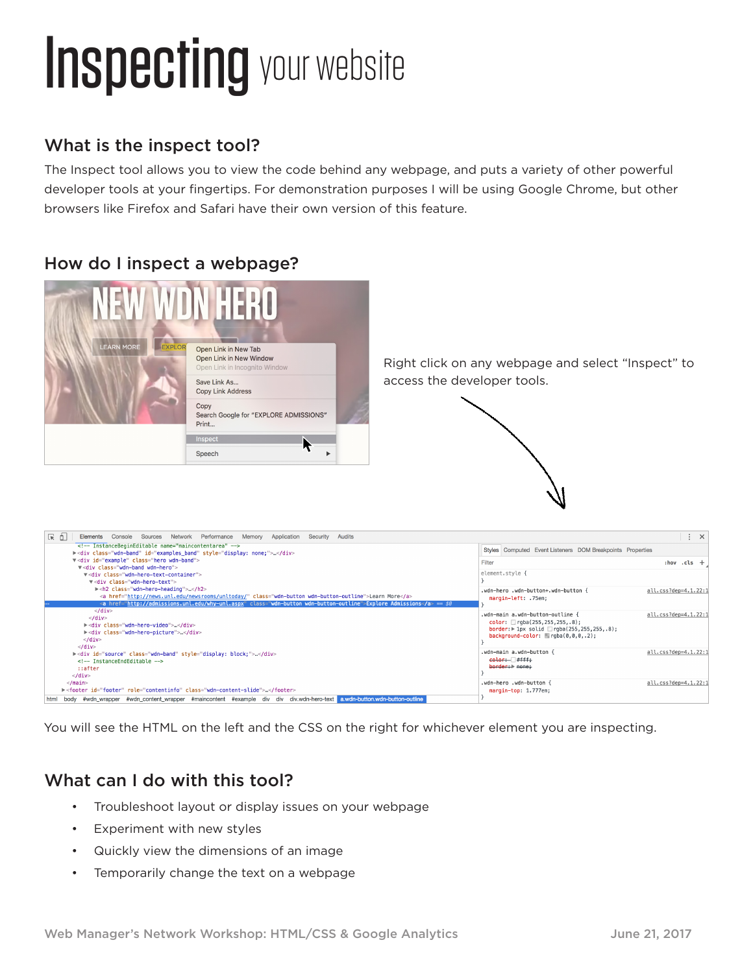# **Inspecting your website**

### What is the inspect tool?

The Inspect tool allows you to view the code behind any webpage, and puts a variety of other powerful developer tools at your fingertips. For demonstration purposes I will be using Google Chrome, but other browsers like Firefox and Safari have their own version of this feature.

### How do I inspect a webpage?





You will see the HTML on the left and the CSS on the right for whichever element you are inspecting.

### What can I do with this tool?

- Troubleshoot layout or display issues on your webpage
- Experiment with new styles
- Quickly view the dimensions of an image
- Temporarily change the text on a webpage